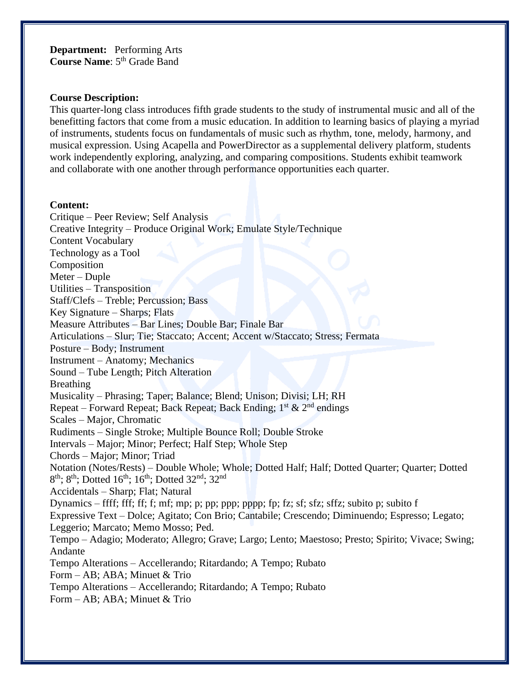**Department:** Performing Arts Course Name: 5<sup>th</sup> Grade Band

### **Course Description:**

This quarter-long class introduces fifth grade students to the study of instrumental music and all of the benefitting factors that come from a music education. In addition to learning basics of playing a myriad of instruments, students focus on fundamentals of music such as rhythm, tone, melody, harmony, and musical expression. Using Acapella and PowerDirector as a supplemental delivery platform, students work independently exploring, analyzing, and comparing compositions. Students exhibit teamwork and collaborate with one another through performance opportunities each quarter.

### **Content:**

Critique – Peer Review; Self Analysis Creative Integrity – Produce Original Work; Emulate Style/Technique Content Vocabulary Technology as a Tool Composition Meter – Duple Utilities – Transposition Staff/Clefs – Treble; Percussion; Bass Key Signature – Sharps; Flats Measure Attributes – Bar Lines; Double Bar; Finale Bar Articulations – Slur; Tie; Staccato; Accent; Accent w/Staccato; Stress; Fermata Posture – Body; Instrument Instrument – Anatomy; Mechanics Sound – Tube Length; Pitch Alteration Breathing Musicality – Phrasing; Taper; Balance; Blend; Unison; Divisi; LH; RH Repeat – Forward Repeat; Back Repeat; Back Ending;  $1^{st}$  &  $2^{nd}$  endings Scales – Major, Chromatic Rudiments – Single Stroke; Multiple Bounce Roll; Double Stroke Intervals – Major; Minor; Perfect; Half Step; Whole Step Chords – Major; Minor; Triad Notation (Notes/Rests) – Double Whole; Whole; Dotted Half; Half; Dotted Quarter; Quarter; Dotted 8<sup>th</sup>; 8<sup>th</sup>; Dotted 16<sup>th</sup>; 16<sup>th</sup>; Dotted 32<sup>nd</sup>; 32<sup>nd</sup> Accidentals – Sharp; Flat; Natural Dynamics – ffff; fff; ff; f; mf; mp; p; pp; ppp; pppp; fp; fz; sf; sfz; sffz; subito p; subito f Expressive Text – Dolce; Agitato; Con Brio; Cantabile; Crescendo; Diminuendo; Espresso; Legato; Leggerio; Marcato; Memo Mosso; Ped. Tempo – Adagio; Moderato; Allegro; Grave; Largo; Lento; Maestoso; Presto; Spirito; Vivace; Swing; Andante Tempo Alterations – Accellerando; Ritardando; A Tempo; Rubato Form – AB; ABA; Minuet & Trio Tempo Alterations – Accellerando; Ritardando; A Tempo; Rubato Form – AB; ABA; Minuet & Trio